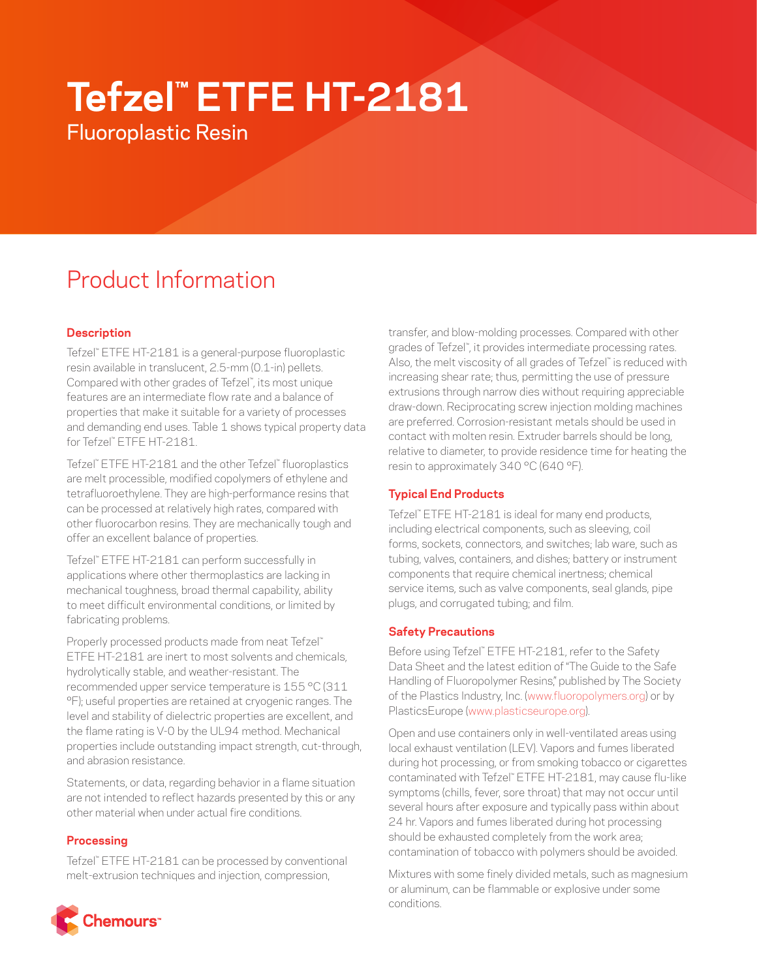# **Tefzel™ ETFE HT-2181**

Fluoroplastic Resin

# Product Information

# **Description**

Tefzel™ ETFE HT-2181 is a general-purpose fluoroplastic resin available in translucent, 2.5-mm (0.1-in) pellets. Compared with other grades of Tefzel™ , its most unique features are an intermediate flow rate and a balance of properties that make it suitable for a variety of processes and demanding end uses. Table 1 shows typical property data for Tefzel™ ETFE HT-2181.

Tefzel™ ETFE HT-2181 and the other Tefzel™ fluoroplastics are melt processible, modified copolymers of ethylene and tetrafluoroethylene. They are high-performance resins that can be processed at relatively high rates, compared with other fluorocarbon resins. They are mechanically tough and offer an excellent balance of properties.

Tefzel™ ETFE HT-2181 can perform successfully in applications where other thermoplastics are lacking in mechanical toughness, broad thermal capability, ability to meet difficult environmental conditions, or limited by fabricating problems.

Properly processed products made from neat Tefzel™ ETFE HT-2181 are inert to most solvents and chemicals, hydrolytically stable, and weather-resistant. The recommended upper service temperature is 155 °C (311 °F); useful properties are retained at cryogenic ranges. The level and stability of dielectric properties are excellent, and the flame rating is V-0 by the UL94 method. Mechanical properties include outstanding impact strength, cut-through, and abrasion resistance.

Statements, or data, regarding behavior in a flame situation are not intended to reflect hazards presented by this or any other material when under actual fire conditions.

## **Processing**

Tefzel™ ETFE HT-2181 can be processed by conventional melt-extrusion techniques and injection, compression,

transfer, and blow-molding processes. Compared with other grades of Tefzel™ , it provides intermediate processing rates. Also, the melt viscosity of all grades of Tefzel™ is reduced with increasing shear rate; thus, permitting the use of pressure extrusions through narrow dies without requiring appreciable draw-down. Reciprocating screw injection molding machines are preferred. Corrosion-resistant metals should be used in contact with molten resin. Extruder barrels should be long, relative to diameter, to provide residence time for heating the resin to approximately 340 °C (640 °F).

# **Typical End Products**

Tefzel™ ETFE HT-2181 is ideal for many end products, including electrical components, such as sleeving, coil forms, sockets, connectors, and switches; lab ware, such as tubing, valves, containers, and dishes; battery or instrument components that require chemical inertness; chemical service items, such as valve components, seal glands, pipe plugs, and corrugated tubing; and film.

## **Safety Precautions**

Before using Tefzel™ ETFE HT-2181, refer to the Safety Data Sheet and the latest edition of "The Guide to the Safe Handling of Fluoropolymer Resins," published by The Society of the Plastics Industry, Inc. ([www.fluoropolymers.org](http://www.fluoropolymers.org)) or by PlasticsEurope ([www.plasticseurope.org\)](http://www.plasticseurope.org).

Open and use containers only in well-ventilated areas using local exhaust ventilation (LEV). Vapors and fumes liberated during hot processing, or from smoking tobacco or cigarettes contaminated with Tefzel™ ETFE HT-2181, may cause flu-like symptoms (chills, fever, sore throat) that may not occur until several hours after exposure and typically pass within about 24 hr. Vapors and fumes liberated during hot processing should be exhausted completely from the work area; contamination of tobacco with polymers should be avoided.

Mixtures with some finely divided metals, such as magnesium or aluminum, can be flammable or explosive under some conditions.